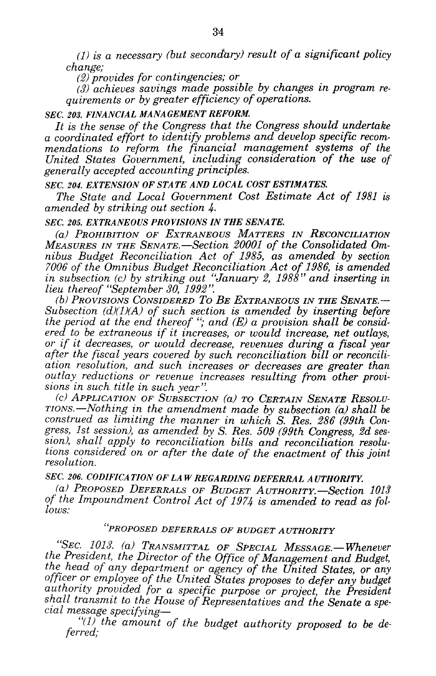*(1) is a necessary (but secondary) result of a significant policy change;*

*(2) provides for contingencies; or*

*(3) achieves savings made possible by changes in program requirements or by greater efficiency of operations.*

## *SEC. 203. FINANCIAL MANAGEMENT REFORM.*

*It is the sense of the Congress that the Congress should undertake a coordinated effort to identify problems and develop specific recommendations to reform the financial management systems of the United States Government, including consideration of the use of generally accepted accounting principles.*

#### *SEC. 204. EXTENSION OF STATE AND LOCAL COST ESTIMATES.*

*The State and Local Government Cost Estimate Act of 1981 is amended by striking out section 4.*

#### *SEC. 205. EXTRANEOUS PROVISIONS IN THE SENATE.*

*(a) PROHIBITION OF EXTRANEOUS MATTERS IN RECONCILIATION MEASURES IN THE SENATE.-Section 20001 of the Consolidated Omnibus Budget Reconciliation Act of 1985, as amended by section 7006 of the Omnibus Budget Reconciliation Act of 1986, is amended in subsection (c) by striking out "January 2, 1988" and inserting in lieu thereof "September 30, 1992".*

*(b) PROVISIONs CONSIDERED To BE EXTRANEOUS IN THE SENATE.- Subsection (d)(1)(A) of such section is amended by inserting before the period at the end thereof* "; and (E) a provision shall be considered to be extraneous if it increases, or would increase, net outlays, *ered to be extraneous if it increases, or would increase, net outlays, or if it decreases, or would decrease, revenues during a fiscal year after the fiscal years covered by such reconciliation bill or reconciliation resolution, and such increases or decreases are greater than outlay reductions or revenue increases resulting from other provisions in such title in such year".*

*(c) APPLICATION OF SUBSECTION (a) TO CERTAIN SENATE RESOLU-TIONS.-Nothing in the amendment made by subsection (a) shall be construed as limiting the manner in which S. Res. 286 (99th Congress, 1st session), as amended by S. Res. 509 (99th Congress, 2d ses- sion), shall apply to reconciliation bills and reconciliation resolutions considered on or after the date of the enactment of this joint resolution.*

*SEC. 206. CODIFICATION OF LA W REGARDING DEFERRAL AUTHORITY.*

*(a) PROPOSED DEFERRALS OF BUDGET AUTHORITY.-Section 1013 of the Impoundment Control Act of 1974 is amended to read as follows:*

# *"PROPOSED DEFERRALS OF BUDGET AUTHORITY*

*"SEC. 1013. (a) TRANSMITTAL OF SPECIAL MESSAGE.-Whenever the President, the Director of the Office of Management and Budget, the head of any department or agency of the United States, or any officer or employee of the United States proposes to defer any budget authority provided for a specific purpose or project, the President shall transmit to the House of Representatives and the Senate a special message specifying-*

*"(1) the amount of the budget authority proposed to be deferred;*